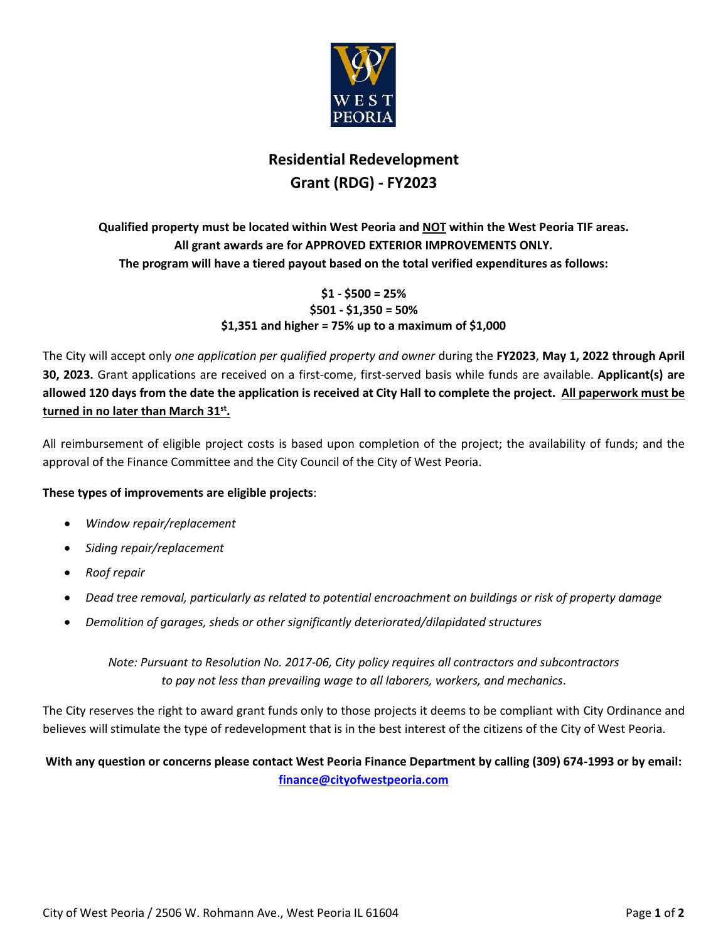

### **Residential Redevelopment Grant (RDG) - FY2023**

#### **Qualified property must be located within West Peoria and NOT within the West Peoria TIF areas. All grant awards are for APPROVED EXTERIOR IMPROVEMENTS ONLY. The program will have a tiered payout based on the total verified expenditures as follows:**

#### **\$1 - \$500 = 25% \$501 - \$1,350 = 50% \$1,351 and higher = 75% up to a maximum of \$1,000**

The City will accept only *one application per qualified property and owner* during the **FY2023**, **May 1, 2022 through April 30, 2023.** Grant applications are received on a first-come, first-served basis while funds are available. **Applicant(s) are allowed 120 days from the date the application is received at City Hall to complete the project. All paperwork must be turned in no later than March 31st .** 

All reimbursement of eligible project costs is based upon completion of the project; the availability of funds; and the approval of the Finance Committee and the City Council of the City of West Peoria.

#### **These types of improvements are eligible projects**:

- *Window repair/replacement*
- *Siding repair/replacement*
- *Roof repair*
- *Dead tree removal, particularly as related to potential encroachment on buildings or risk of property damage*
- *Demolition of garages, sheds or other significantly deteriorated/dilapidated structures*

*Note: Pursuant to Resolution No. 2017-06, City policy requires all contractors and subcontractors to pay not less than prevailing wage to all laborers, workers, and mechanics*.

The City reserves the right to award grant funds only to those projects it deems to be compliant with City Ordinance and believes will stimulate the type of redevelopment that is in the best interest of the citizens of the City of West Peoria.

#### **With any question or concerns please contact West Peoria Finance Department by calling (309) 674-1993 or by email: [finance@cityofwestpeoria.com](mailto:finance@cityofwestpeoria.com)**